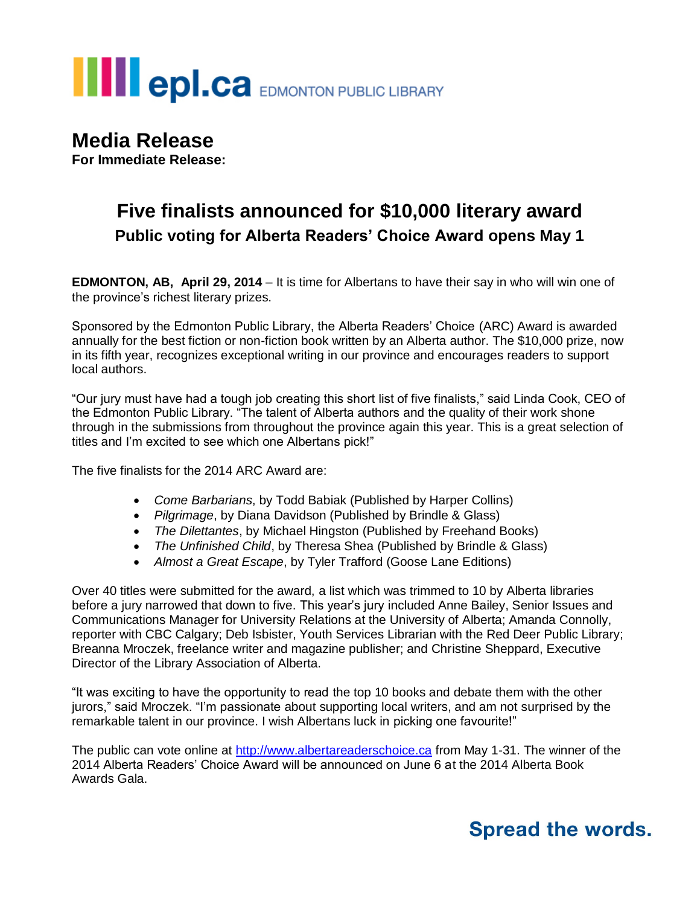## **III** epl.ca EDMONTON PUBLIC LIBRARY

## **Media Release**

**For Immediate Release:**

### **Five finalists announced for \$10,000 literary award Public voting for Alberta Readers' Choice Award opens May 1**

**EDMONTON, AB, April 29, 2014** – It is time for Albertans to have their say in who will win one of the province's richest literary prizes.

Sponsored by the Edmonton Public Library, the Alberta Readers' Choice (ARC) Award is awarded annually for the best fiction or non-fiction book written by an Alberta author. The \$10,000 prize, now in its fifth year, recognizes exceptional writing in our province and encourages readers to support local authors.

"Our jury must have had a tough job creating this short list of five finalists," said Linda Cook, CEO of the Edmonton Public Library. "The talent of Alberta authors and the quality of their work shone through in the submissions from throughout the province again this year. This is a great selection of titles and I'm excited to see which one Albertans pick!"

The five finalists for the 2014 ARC Award are:

- *Come Barbarians*, by Todd Babiak (Published by Harper Collins)
- *Pilgrimage*, by Diana Davidson (Published by Brindle & Glass)
- *The Dilettantes*, by Michael Hingston (Published by Freehand Books)
- *The Unfinished Child*, by Theresa Shea (Published by Brindle & Glass)
- *Almost a Great Escape*, by Tyler Trafford (Goose Lane Editions)

Over 40 titles were submitted for the award, a list which was trimmed to 10 by Alberta libraries before a jury narrowed that down to five. This year's jury included Anne Bailey, Senior Issues and Communications Manager for University Relations at the University of Alberta; Amanda Connolly, reporter with CBC Calgary; Deb Isbister, Youth Services Librarian with the Red Deer Public Library; Breanna Mroczek, freelance writer and magazine publisher; and Christine Sheppard, Executive Director of the Library Association of Alberta.

"It was exciting to have the opportunity to read the top 10 books and debate them with the other jurors," said Mroczek. "I'm passionate about supporting local writers, and am not surprised by the remarkable talent in our province. I wish Albertans luck in picking one favourite!"

The public can vote online at [http://www.albertareaderschoice.ca](http://www.albertareaderschoice.ca/) from May 1-31. The winner of the 2014 Alberta Readers' Choice Award will be announced on June 6 at the 2014 Alberta Book Awards Gala.

## **Spread the words.**